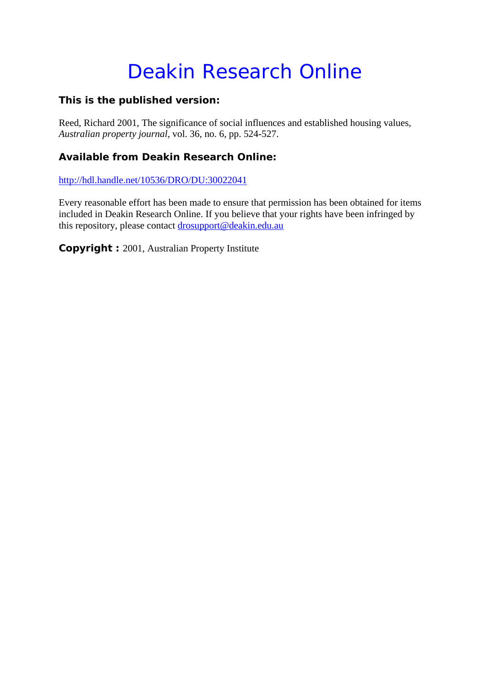# Deakin Research Online

### **This is the published version:**

Reed, Richard 2001, The significance of social influences and established housing values*, Australian property journal*, vol. 36, no. 6, pp. 524-527.

### **Available from Deakin Research Online:**

http://hdl.handle.net/10536/DRO/DU:30022041

Every reasonable effort has been made to ensure that permission has been obtained for items included in Deakin Research Online. If you believe that your rights have been infringed by this repository, please contact drosupport@deakin.edu.au

**Copyright :** 2001, Australian Property Institute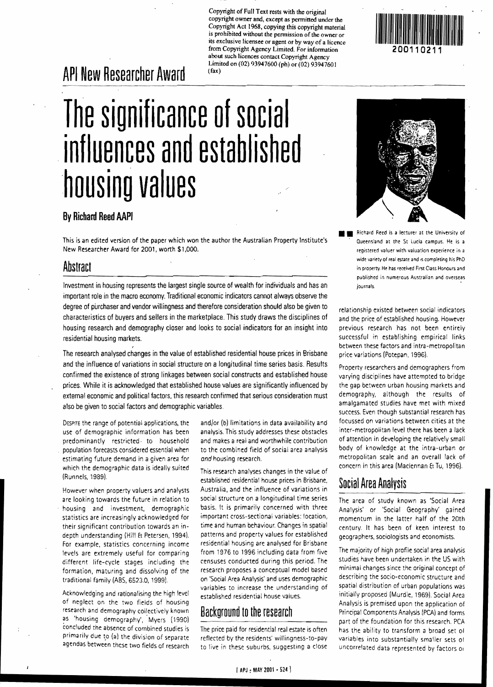Copyright of Full Text rests with the original copyright owner and, except as permitted under the Copyright Act 1968, copying this copyright material is prohibited without the pennission of the owner or its exclusive licensee or agent or by way of a licence from Copyright Agency Limited. For infonnation about such licences contact Copyright Agency Limited on (02) 93947600 (ph) or (02) 93947601 (fax)

# **API New Researcher Award**

# **The significance of social influences and established ·housing values**

### **By Richard Reed AAPI**

This is an edited version of the paper which won the author the Australian Property Institute's New Researcher Award for 2001, worth \$1,000.

### **Abstract**

Investment in housing represents the largest single source of wealth for individuals and has an important role in the macro economy. Traditional economic indicators cannot always observe the degree of purchaser and vendor willingness and therefore consideration should also be given to characteristics of buyers and sellers in the marketplace. This study draws the disciplines of housing research and demography closer and looks to social indicators for an insight into residential housing markets.

The research analysed changes in the value of established residential house prices in Brisbane and the influence of variations in social structure on a longitudinal time series basis. Results confirmed the existence of strong linkages between social constructs and established house prices. While it is acknowledged that established house values are significantly influenced by externa! economic and political factors, this research confirmed that serious consideration must also be given to social factors and demographic variables.

DESPITE the range of potential applications. the use of demographic information has been predominantly restricted· to household population forecasts considered essential when estimating future demand in a given area for which the demographic data is ideally suited (Runnels, 1989).

I

However when property valuers and analysts are looking towards the future in relation to housing and investment, demographic statistics are increasingly acknowledged for their significant contribution towards an indepth understanding (Hill & Petersen, 1994). For example, statistics concerning income levels are extremely useful for comparing different life-cycle stages including the formation, maturing and dissolving of the traditional family (ABS, 6523.0, 1999).

Acknowledging and rationalising the high level of neglect on the two fields of housing research and demography collectively known as 'housing demography', Myers (1990) concluded the absence of combined studies is primarily due to (a) the division of separate agendas between these two fields of research

and/or (b) limitations in data availability and analysis. This study addresses these obstacles and makes a real and worthwhile contribution to the combined field of social area analysis and housing research.

This research analyses changes in the value of established residential house prices in Brisbane, Australia, and the influence of variations in social structure on a longitudinal time series basis. It is primarily concerned with three important cross-sectional variables: location, time and human behaviour. Changes in spatial patterns and property values for established residential housing are analysed for Brisbane from 1976 to 1996 including data from five censuses conducted during this period. The research proposes a conceptual model based on 'Social Area Analysis' and uses demographic variables to increase the understanding of established residential house values.

### **Background to the research**

The price paid for residential real estate is often reflected by the residents' willingness-ta-pay to live in these suburbs. suggesting a close



registered valuer with valuation experience in a wide variety of real estate and is completing his PhD in property. He has received First Class Honours and published in numerous Australian and overseas journals.

relationship existed between social indicators and the price of established housing. However previous research has not been entirely successful in establishing empirical links between these factors and intra-metropolitan price variations (Potepan, 1996).

Property researchers and demographers from varying disciplines have attempted to bridge the gap between urban housing markets and demography, although the results of amalgamated studies have met with mixed success. Even though substantial research has focussed on variations between cities at the inter-metropolitan level there has been a lack of attention in developing the relatively small body of knowledge at the intra-urban or metropolitan scale and an overall lack of concern in this area (Maclennan & Tu, 1996).

## **Social Area AnalYSis**

The area of study known as 'Social Area Analysis' or 'Social Geography' gained momentum in the latter half of the 20th century. It has been of keen interest to geographers, sociologists and economists.

The majority of high profile social area analysis studies have been undertaken in the US with minimal changes since the original concept of describing the socio-economic structure and spatial distribution of urban populations was initially proposed (Murdie, 1969). Social Area Analysis is premised upon the application of Principal Components Analysis (PCA) and forms part of the foundation for this research. PCA has the ability to transform a broad set 01 variables into substantially smaller sets 01 uncorrelated data represented by factors 01

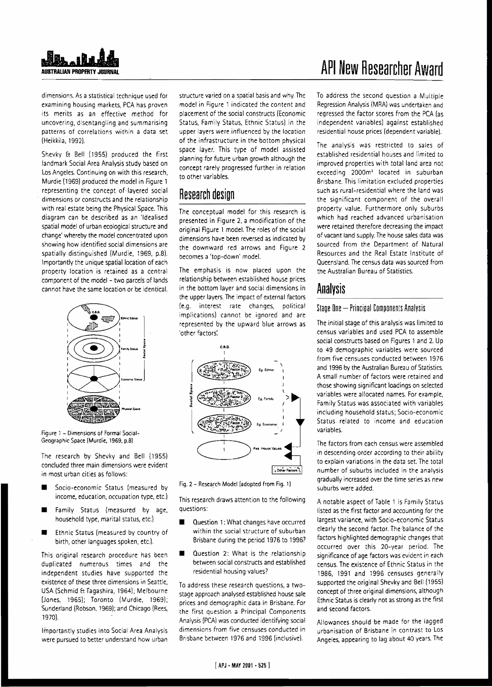

dimensions. As a statistical technique used for examining housing markets, PCA has proven its merits as an effective method for uncovering, disentangling and summarising patterns of correlations within a data set (Heikkila, 1992).

Shevky & Bell (1955) produced the first landmark Social Area Analysis study based on Los Angeles. Continuing on with this research, Murdie (1969) produced the model in Figure 1 representing the concept of· layered social dimensions or constructs and the relationship with real estate being the Physical Space. This diagram can be described as an 'Idealised spatial model of urban ecological structure and change' whereby the model concentrated upon showing how identified sodal dimensions are spatially distinguished (Murdie. 1969. p.8). Importantly the unique spatial location of each property location is retained as a central component of the model - two parcels of lands cannot have the same location or be identical.



Figure 1 - Dimensions of Formal Social-Geographic Space IMurdie. 1969. p.8)

The research by Shevky and Bell (1955) concluded three main dimensions were evident in most urban cities as follows:

- Socia-economic Status (measured by income, education, occupation type, etc.)
- **E** Family Status (measured by age, household type, marital status, etc.)
- **Ethnic Status (measured by country of** birth, other languages spoken, etc.).

This original research procedure has been duplicated numerous times and the independent studies have supported the existence of these three dimensions in Seattle, USA (Schmid & 1964); Melbourne [Jones, 1965}; Toronto (Murdie, 1969); Sunderland (Robson. 1969); and Chicago fRees, 1970).

Importantly studies into Social Area Analysis were pursued to better understand how urban

structure varied on a spatial basis and why. The model in Figure 1 indicated the content and placement of the social constructs (Economic Status, Family Status, Ethnic Status) in the upper layers were influenced by the location of the infrastructure in the bottom physical space layer. This type of model assisted planning for future urban growth although the concept rarely progressed further in relation to other variables.

# **Research design**

The conceptual model for this research is presented in Figure 2, a modification of the original Figure 1 model. The roles of the social dimensions have been reversed as indicated by the downward red arrows and Figure 2 becomes a 'top-down' model.

The emphasis is now placed upon the relationship between established house prices in the bottom layer and social dimensions in the upper layers. The impact of external factors {e.g. interest rate changes, political implications) cannot be ignored and are represented by the upward blue arrows as 'other factors:



Fig. 2 - Research Model (adopted from Fig. 1)

This research draws attention to the following questions:

- **Question 1: What changes have occurred** within the social structure of suburban Brisbane during the period 1976 to 19967
- **Question 2: What is the relationship** between social constructs and established residential housing values?

To address these research questions, a twostage approach analysed established house sale prices and demographic data in Brisbane. For the first question a Principal Components Analysis (PCA) was conducted identifying social dimensions from five censuses conducted in Brisbane between 1976 and 1996 (inclusive).

# **API New Researcher Award**

To address the second question a Multiple Regression Analysis (MRA) was undertaken and regressed the factor scores from the PCA (as independent variables) against established residential house prices (dependent variable].

The analysis was restricted to sales of established residential houses and limited to improved properties with total land area not exceeding 2000m<sup>2</sup> located in suburban Brisbane. This limitation excluded properties such as rural-residential where the land was the significant component of the overall property value. Furthermore only suburbs which had reached advanced urbanisation were retained therefore decreasing the impact of vacant land supply. The house sales data was sourced from the Department of Natural Resources and the Real Estate Institute of Queensland. The census data was sourced from the Australian Bureau of Statistics.

### **Analysis**

#### Stage One - Principal Components Analysis

The initial stage of this analysis was limited to census variables and used PCA to assemble social constructs based on Figures 1 and 2. Up to 49 demographic variables were sourced from five censuses conducted between 1976 and 1996 by the Australian Bureau of Statistics. A small number of factors were retained and those showing significant loadings on selected variables were allocated names. For example. Family Status was associated with variables including household status; Socio-economic Status, related to income and education variables.

The factors from each census were assembled in descending order according to their ability to explain variations in the data set. The total number of suburbs included in the analysis gradually increased over the time series as new suburbs were added.

A notable aspect of Table 1 is Family Status listed as the first factor and accounting for the largest variance, with Socio-economic Status clearly the second factor. The balance of the factors highlighted demographic changes that occurred over this 20-year period. The significance of age factors was evident in each census. The existence of Ethnic Status in the 1986. 1991 and 1996 censuses generally supported the original Shevky and Bell (1955) concept of three original dimensions, although Ethnic Status is dearly not as strong as the first and second factors.

Allowances should be made for the lagged urbanisation of Brisbane in contrast to Los Angeles, appearing to lag about 40 years. The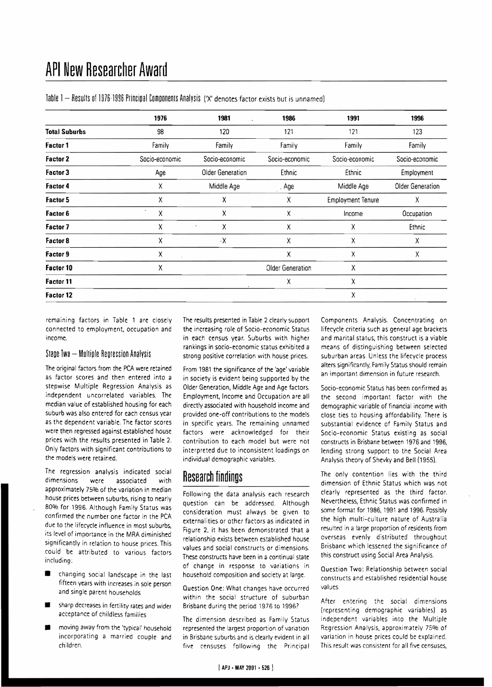|                      | 1976           | 1981<br>ä,       | 1986             | 1991                     | 1996             |
|----------------------|----------------|------------------|------------------|--------------------------|------------------|
| <b>Total Suburbs</b> | 98             | 120              | 121              | 121                      | 123              |
| <b>Factor 1</b>      | Family         | Family           | Family           | Family                   | Family           |
| <b>Factor 2</b>      | Socio-economic | Socio-economic   | Socio-economic   | Socio-economic           | Socio-economic   |
| Factor 3             | Age            | Older Generation | Ethnic           | Ethnic                   | Employment       |
| <b>Factor 4</b>      | Χ              | Middle Age       | . Age            | Middle Age               | Older Generation |
| <b>Factor 5</b>      | Χ              | χ                | χ                | <b>Employment Tenure</b> | Χ                |
| Factor 6             | Χ              | χ                | Χ                | Income                   | Occupation       |
| Factor 7             | χ              | χ                | Χ                | Χ                        | Ethnic           |
| Factor 8             | χ              | $\cdot$ X        | Χ                | Χ                        | Χ                |
| Factor 9             | χ              |                  | Χ                | χ                        | Χ                |
| Factor 10            | χ              |                  | Older Generation | Χ                        |                  |
| Factor 11            |                |                  | Χ                | χ                        |                  |
| Factor 12            |                |                  |                  | Χ                        |                  |

Table 1 - Results of 1976-1996 Principal Components Analysis ('X' denotes factor exists but is unnamed)

remaining factors in Table 1 are closely connected to employment. occupation and income.

#### Stape Two - Multiple Regression Analysis

The original factors from the PCA were retained as factor scores and then entered into a stepwise Multiple Regression Analysis as independent uncorrelated variables. The median value of established housing for each suburb was also entered for each census year as the dependent variable. The factor scores were then regressed against established house prices with the results presented in Table 2. Only factors with significant contributions to the models were retained.

The regression analysis indicated social dimensions were associated with approximately 75% of the variation in median house prices between suburbs, rising to nearly 80% for 1996. Although Family Status was confirmed the number *one* factor in the PCA due to the lifecycle influence in most suburbs, its level of importance in the MRA diminished significantly in relation to house prices. This could be attributed to various factors including:

- changing social landscape in the last fifteen years with increases in sole person and single parent households
- sharp decreases in fertility rates and wider acceptance of childless families
- moving away from the 'typical' household incorporating a married couple and children.

The results presented in Table 2 clearly support the increasing role of Socio-economic Status in each census year. Suburbs with higher rankings in sorio-economic status exhibited a strong positive correlation with house prices.

From 1981 the significance of the 'age' variable in society is evident being supported by the Older Generation, Middle Age and Age factors. Employment, Income and Occupation are all directty associated with household income and provided one-off contributions to the models in specific years. The remaining unnamed factors were acknowledged for their contribution to each model but were not interpreted due to inconsistent loadings on individual demographic variables.

## **Research findings**

Following the data analysis each research question can be addressed. Although consideration must always be given to externalities or other factors as indicated in Figure 2, it has been demonstrated that a relationship exists between established house values and social constructs or dimensions. These constructs have been in a continual state of change in response to variations in household composition and society at large.

Question One: What changes have occurred within the social structure of suburban Brisbane during the period 1976 to 1996?

The dimension described as Family Status represented the largest proportion of variation in Brisbane suburbs and is clearly evident in all five censuses following the Principal

Components Analysis. Concentrating on lifecycle criteria such as general age brackets and marital status, this construct is a viable means of distinguishing between selected suburban areas. Unless the lifecycle process alters significantly, Family Status should remain an important dimension in future research.

Socio-economic Status has been confirmed as the second important factor with the demographic variable of financial income with close ties to housing affordability. There is substantial evidence of Family Status and Socio-economic Status existing as social constructs in Brisbane between 1976 and 1996, lending strong support to the Social Area Analysis theory of Shevky and Bell (1955).

The only contention lies with the third dimension of Ethnic Status which was not clearly represented as the third factor. Nevertheless, Ethnic Status was confirmed in some format for 1986, 1991 and 1996. Possibly the high multi-culture nature of Australia resulted in a large proportion of residents from overseas evenly distributed throughout Brisbane which lessened the significance of this construct using Social Area Analysis.

Question Two: Relationship between social constructs and established residential house values

After entering the social dimensions {representing demographic variables) as independent variables into the Multiple Regression Analysis, approximately 750/0 of variation in house prices could be explained. This result was consistent for all five censuses,